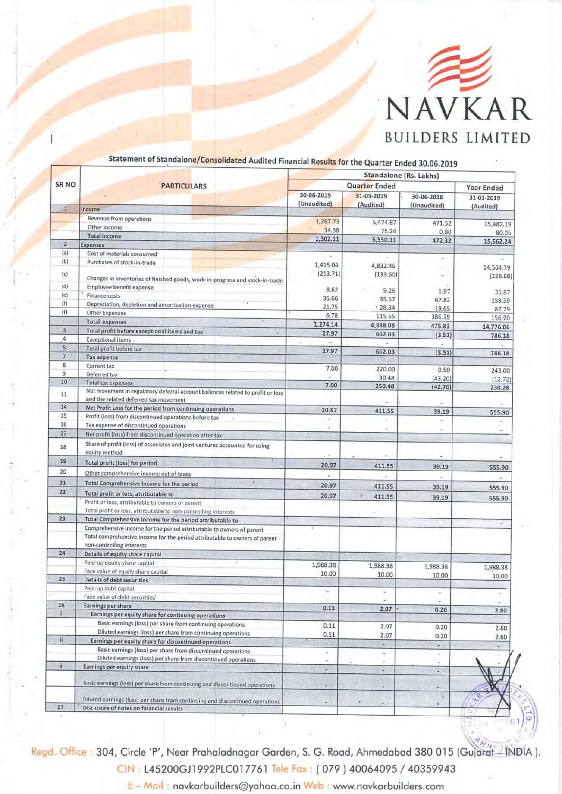

| <b>SR NO</b>   | <b>PARTICULARS</b>                                                                                                                                                              | Standalone (Rs. Lakhs) |            |              |                       |
|----------------|---------------------------------------------------------------------------------------------------------------------------------------------------------------------------------|------------------------|------------|--------------|-----------------------|
|                |                                                                                                                                                                                 | <b>Quarter Ended</b>   |            |              | <b>Year Ended</b>     |
|                |                                                                                                                                                                                 | 30-06-2019             | 31-03-2019 | 30-06-2018   | 31-03-2019            |
| $\mathbf{I}$   | Income                                                                                                                                                                          | (Unaudited)            | (Audited)  | (Unaudited)  | (Audited)             |
|                | Revenue from operations                                                                                                                                                         |                        |            |              |                       |
|                | Other income                                                                                                                                                                    | 1,267.73<br>34.38      | 5,474.87   | 471.52       | 15,482,19             |
|                | <b>Total income</b>                                                                                                                                                             | 1,302.11               | 75.24      | 0.80         | 80.05                 |
| $\overline{2}$ | <b>Expenses</b>                                                                                                                                                                 |                        | 5,550.11   | 472.32       | 15,562.24             |
| (a)            | Cost of materials consumed                                                                                                                                                      |                        |            |              |                       |
| (b)            | Purchases of stock-in-trade                                                                                                                                                     | 1,415.04               | 4,832.46   | ×            |                       |
| (c)            |                                                                                                                                                                                 | (213.71)               | (133.60)   |              | 14,564.79<br>(228.68) |
|                | Changes in inventories of finished goods, work-in-progress and stock-in-trade                                                                                                   |                        |            |              |                       |
| (d)<br>(e)     | Employee benefit expense                                                                                                                                                        | 8.62                   | 9.26       | 1.97         | 35.87                 |
| (f)            | Finance costs                                                                                                                                                                   | 35.66                  | 35.57      | 67.82        | 159.59                |
| (f)            | Depreciation, depletion and amortisation expense                                                                                                                                | 21.75                  | .28.84     | 19.65        | 87.79                 |
|                | <b>Other Expenses</b>                                                                                                                                                           | 6.78                   | 115.55     | 386.39       | 156.70                |
| 3              | <b>Total expenses</b>                                                                                                                                                           | 1,274.14               | 4,888.08   | 475.83       | 14,776.06             |
| $\overline{4}$ | Total profit before exceptional items and tax<br>×                                                                                                                              | 27.97                  | 662.03     | (3.51)       | 786.18                |
| 5              | <b>Exceptional items</b>                                                                                                                                                        | $\lambda$              |            |              |                       |
| $\overline{7}$ | Total profit before tax                                                                                                                                                         | 27.97                  | 662.03     | (3.51)       | 786.18                |
| $\bf 8$        | <b>Tax expense</b><br><b>Current tax</b>                                                                                                                                        |                        |            |              |                       |
| 9              | Deferred tax                                                                                                                                                                    | 7.00                   | 220.00     | 0.50         | 243.00                |
| 10             | <b>Total tax expenses</b>                                                                                                                                                       |                        | 30.48      | (43.20)      | (12.72)               |
|                | Net movement in regulatory deferral account balances related to profit or loss                                                                                                  | 7.00                   | 250.48     | (42.70)      | 230.28                |
| 11             | and the related deferred tax movement                                                                                                                                           |                        |            |              |                       |
| 14             | Net Profit Loss for the period from continuing operations                                                                                                                       | 20.97                  |            |              |                       |
| 15             | Profit (loss) from discontinued operations before tax                                                                                                                           |                        | 411.55     | 39.19        | 555.90                |
| 16             | Tax expense of discontinued operations                                                                                                                                          |                        |            |              |                       |
| 17             | Net profit (loss) from discontinued operation after tax                                                                                                                         |                        |            |              |                       |
| 18             | Share of profit (loss) of associates and joint ventures accounted for using<br>equity method                                                                                    |                        |            |              |                       |
| 19             | Total profit (loss) for period                                                                                                                                                  |                        |            |              |                       |
| 20             |                                                                                                                                                                                 | 20.97                  | 411.55     | 39.19        | 555.90                |
|                | Other comprehensive income net of taxes                                                                                                                                         |                        |            |              |                       |
| 21             | Total Comprehensive Income for the period                                                                                                                                       | 20.97                  | 411.55     | 39.19        | 555.90                |
| 22<br>23       | Total profit or loss, attributable to                                                                                                                                           | 20.97                  | 411.55     | 39.19        | 555.90                |
|                | Profit or loss, attributable to owners of parent                                                                                                                                |                        |            |              |                       |
|                | Total profit or loss, attributable to non-controlling interests                                                                                                                 |                        |            |              |                       |
|                | Total Comprehensive income for the period attributable to                                                                                                                       |                        |            |              |                       |
|                | Comprehensive income for the period attributable to owners of parent<br>Total comprehensive income for the period attributable to owners of parent<br>non-controlling interests |                        |            |              |                       |
| 24             | Details of equity share capital                                                                                                                                                 |                        |            |              |                       |
|                | Paid-up equity share capital                                                                                                                                                    | 1,988.38               |            |              |                       |
|                | Face value of equity share capital                                                                                                                                              | 10.00                  | 1,988.38   | 1,988.38     | 1,988.38              |
| 25             | <b>Details of debt securities</b>                                                                                                                                               |                        | 10.00      | 10.00        | 10.00                 |
|                | Paid-up debt capital                                                                                                                                                            |                        | ×          |              |                       |
|                | Face value of debt securities'                                                                                                                                                  |                        |            | ٠            | ۰                     |
| 26             | Earnings per share                                                                                                                                                              | 0.11                   | 2.07       |              |                       |
| ï.             | Earnings per equity share for continuing operations                                                                                                                             |                        |            | 0.20         | 2.80                  |
|                | Basic earnings (loss) per share from continuing operations                                                                                                                      | 0.11                   | 2.07       |              |                       |
|                | Diluted earnings (loss) per share from continuing operations                                                                                                                    | 0.11                   | 2.07       | 0.20<br>0.20 | 2.80                  |
| 川              | Earnings per equity share for discontinued operations                                                                                                                           | ٠                      | ×.         | ×            | 2:80                  |
|                | Basic earnings (loss) per share from discontinued operations                                                                                                                    | ٠                      | ٠          |              |                       |
|                | Diluted earnings (loss) per share from discontinued operations                                                                                                                  | ٠                      | ٠          | ٠            |                       |
| ii             | Earnings per equity share                                                                                                                                                       | $\sim$                 | ×          | $\bullet$    |                       |
|                |                                                                                                                                                                                 |                        |            |              |                       |
|                | Basic earnings (loss) per share from continuing and discontinued operations                                                                                                     | ٠                      | ٠          |              |                       |
|                |                                                                                                                                                                                 |                        |            | ú.           |                       |
| 27             | Diluted earnings (loss) per share from continuing and discontinued operations                                                                                                   |                        |            |              |                       |
|                | Disclosure of notes on financial results                                                                                                                                        |                        |            |              |                       |

## Statement of Standalone/Consolidated Audited Financial Results for the quarter Ended 30.0G.2019

304, Circle 'P', Near Prahaladnagar Garden, S. G. Road, Ahmedabad 380 015 (Gujarat - INDIA ). L45200GJ1992PLC017761 T<mark>ele Fax</mark> : ( 079 ) 40064095 / 40359943

eb : www.novkorbuilders.com Mo i'i : novkorbuilders@yohoo.co.in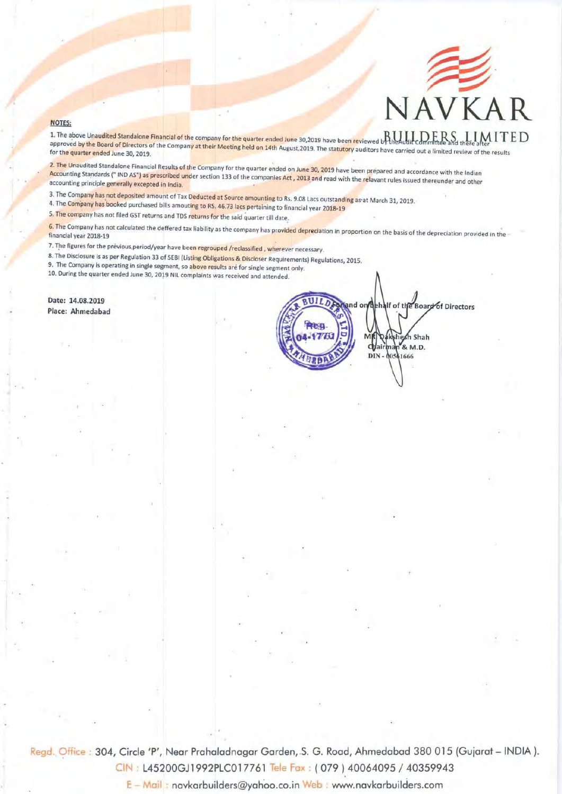

nd on hehalf of the Board of Directors

shesh Shah Chairman & M.D.

00561666

DIN-

## **NOTES:**

1. The above Unaudited Standalone Financial of the company for the quarter ended June 30,2019 have been reviewed by the Audit Committee and there after  $1 \text{ T} \text{ E}$ approved by the Board of Directors of the Company at their Meeting held on 14th August, 2019. The statutory auditors have carried out a limited review of the results

2. The Unaudited Standalone Financial Results of the Company for the quarter ended on June 30, 2019 have been prepared and accordance with the Indian Accounting Standards (" IND AS") as prescribed under section 133 of the companies Act, 2013 and read with the relavant rules issued thereunder and other accounting principle generally excepted in India.

- 3. The Company has not deposited amount of Tax Deducted at Source amounting to Rs. 9.08 Lacs outstanding as at March 31, 2019.
- 4. The Company has booked purchased bills amouting to RS, 46.73 lacs pertaining to financial year 2018-19<br>5. The company has not filed GST returns and TDS returns for the said quarter till date.
- 

has not calculated the deffered tax liability as the company has provi<mark>ded depreci</mark>ation in proportion on the basis of the depreciation provided in the <sup>.</sup><br>18-19

- 7. The figures for the
- 8. The Disclosure is as per Regulation 33 of SEBI (List<mark>ing Obligations & Discloser</mark> Requirements) Regulations, 2015.<br>P. The Games

9. The Company is operating in single segment, so above results are for single segment

10. During the quarter ended June 30, 2019 NIL complaints was received and attended

Date: 14,08,2019 Place: Ahmedabad

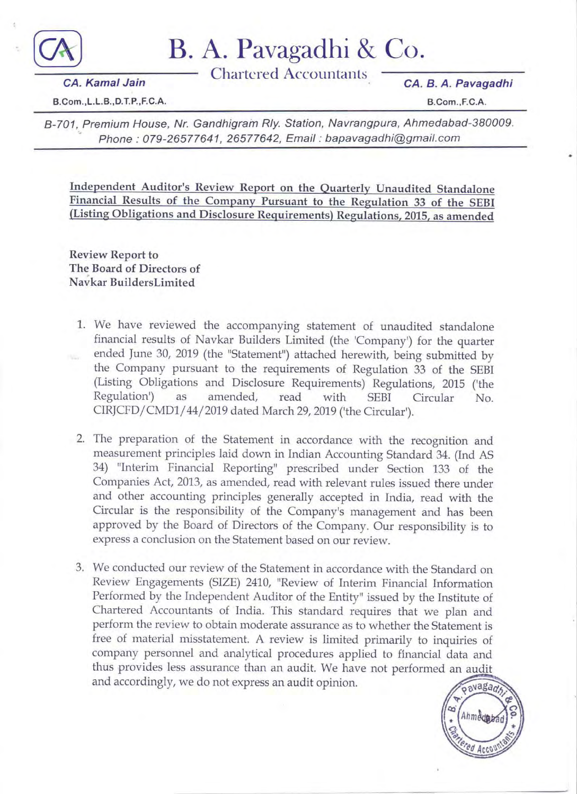

B. A. Pavagadhi & Co.

**Chartered Accountants** 

CA. B. A. Pavagadhi

B.Com., L.L.B., D.T.P., F.C.A.

**CA.** Kamal Jain

B.Com., F.C.A.

B-701, Premium House, Nr. Gandhigram Rly. Station, Navrangpura, Ahmedabad-380009. Phone: 079-26577641, 26577642, Email: bapavagadhi@gmail.com

Independent Auditor's Review Report on the Quarterly Unaudited Standalone Financial Results of the Company Pursuant to the Regulation 33 of the SEBI (Listing Obligations and Disclosure Requirements) Regulations, 2015, as amended

**Review Report to** The Board of Directors of Navkar BuildersLimited

- 1. We have reviewed the accompanying statement of unaudited standalone financial results of Navkar Builders Limited (the 'Company') for the quarter ended June 30, 2019 (the "Statement") attached herewith, being submitted by the Company pursuant to the requirements of Regulation 33 of the SEBI (Listing Obligations and Disclosure Requirements) Regulations, 2015 ('the Regulation') as amended, read with **SEBI** Circular No. CIRJCFD/CMD1/44/2019 dated March 29, 2019 ('the Circular').
- 2. The preparation of the Statement in accordance with the recognition and measurement principles laid down in Indian Accounting Standard 34. (Ind AS 34) "Interim Financial Reporting" prescribed under Section 133 of the Companies Act, 2013, as amended, read with relevant rules issued there under and other accounting principles generally accepted in India, read with the Circular is the responsibility of the Company's management and has been approved by the Board of Directors of the Company. Our responsibility is to express a conclusion on the Statement based on our review.
- 3. We conducted our review of the Statement in accordance with the Standard on Review Engagements (SIZE) 2410, "Review of Interim Financial Information Performed by the Independent Auditor of the Entity" issued by the Institute of Chartered Accountants of India. This standard requires that we plan and perform the review to obtain moderate assurance as to whether the Statement is free of material misstatement. A review is limited primarily to inquiries of company personnel and analytical procedures applied to financial data and thus provides less assurance than an audit. We have not performed an audit and accordingly, we do not express an audit opinion.